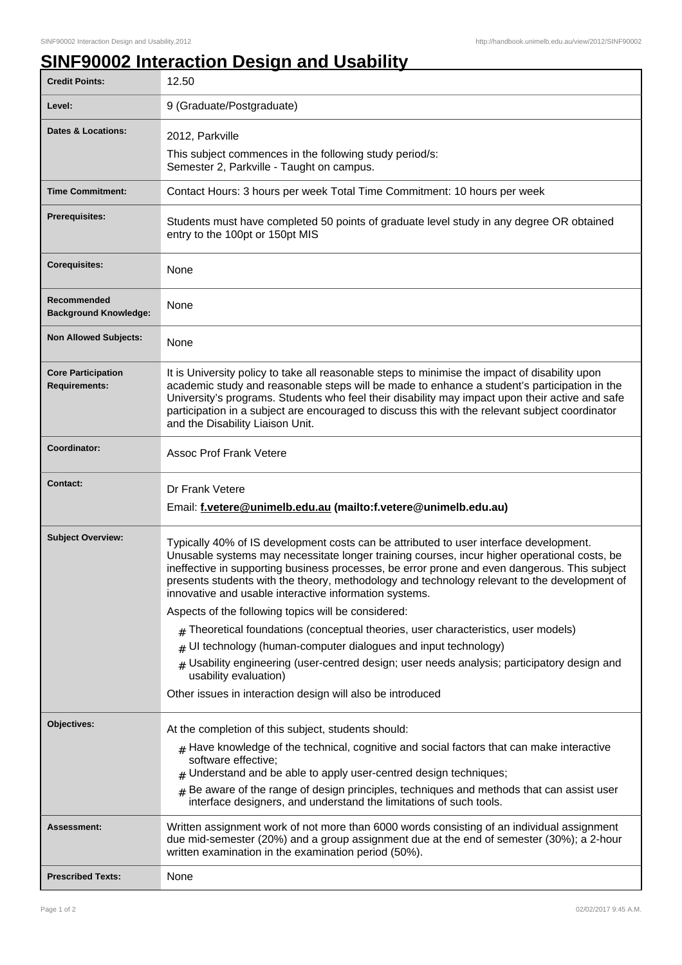## **SINF90002 Interaction Design and Usability**

| <b>Credit Points:</b>                             | 12.50                                                                                                                                                                                                                                                                                                                                                                                                                                             |
|---------------------------------------------------|---------------------------------------------------------------------------------------------------------------------------------------------------------------------------------------------------------------------------------------------------------------------------------------------------------------------------------------------------------------------------------------------------------------------------------------------------|
| Level:                                            | 9 (Graduate/Postgraduate)                                                                                                                                                                                                                                                                                                                                                                                                                         |
| <b>Dates &amp; Locations:</b>                     | 2012, Parkville                                                                                                                                                                                                                                                                                                                                                                                                                                   |
|                                                   | This subject commences in the following study period/s:<br>Semester 2, Parkville - Taught on campus.                                                                                                                                                                                                                                                                                                                                              |
| <b>Time Commitment:</b>                           | Contact Hours: 3 hours per week Total Time Commitment: 10 hours per week                                                                                                                                                                                                                                                                                                                                                                          |
| Prerequisites:                                    | Students must have completed 50 points of graduate level study in any degree OR obtained<br>entry to the 100pt or 150pt MIS                                                                                                                                                                                                                                                                                                                       |
| <b>Corequisites:</b>                              | None                                                                                                                                                                                                                                                                                                                                                                                                                                              |
| Recommended<br><b>Background Knowledge:</b>       | None                                                                                                                                                                                                                                                                                                                                                                                                                                              |
| <b>Non Allowed Subjects:</b>                      | None                                                                                                                                                                                                                                                                                                                                                                                                                                              |
| <b>Core Participation</b><br><b>Requirements:</b> | It is University policy to take all reasonable steps to minimise the impact of disability upon<br>academic study and reasonable steps will be made to enhance a student's participation in the<br>University's programs. Students who feel their disability may impact upon their active and safe<br>participation in a subject are encouraged to discuss this with the relevant subject coordinator<br>and the Disability Liaison Unit.          |
| Coordinator:                                      | <b>Assoc Prof Frank Vetere</b>                                                                                                                                                                                                                                                                                                                                                                                                                    |
| <b>Contact:</b>                                   | Dr Frank Vetere<br>Email: f.vetere@unimelb.edu.au (mailto:f.vetere@unimelb.edu.au)                                                                                                                                                                                                                                                                                                                                                                |
| <b>Subject Overview:</b>                          | Typically 40% of IS development costs can be attributed to user interface development.<br>Unusable systems may necessitate longer training courses, incur higher operational costs, be<br>ineffective in supporting business processes, be error prone and even dangerous. This subject<br>presents students with the theory, methodology and technology relevant to the development of<br>innovative and usable interactive information systems. |
|                                                   | Aspects of the following topics will be considered:                                                                                                                                                                                                                                                                                                                                                                                               |
|                                                   | Theoretical foundations (conceptual theories, user characteristics, user models)                                                                                                                                                                                                                                                                                                                                                                  |
|                                                   | UI technology (human-computer dialogues and input technology)<br>$\pm$                                                                                                                                                                                                                                                                                                                                                                            |
|                                                   | Usability engineering (user-centred design; user needs analysis; participatory design and<br>#<br>usability evaluation)                                                                                                                                                                                                                                                                                                                           |
|                                                   | Other issues in interaction design will also be introduced                                                                                                                                                                                                                                                                                                                                                                                        |
| Objectives:                                       | At the completion of this subject, students should:                                                                                                                                                                                                                                                                                                                                                                                               |
|                                                   | $_{\#}$ Have knowledge of the technical, cognitive and social factors that can make interactive<br>software effective;<br>Understand and be able to apply user-centred design techniques;                                                                                                                                                                                                                                                         |
|                                                   | Be aware of the range of design principles, techniques and methods that can assist user<br>$\pm$<br>interface designers, and understand the limitations of such tools.                                                                                                                                                                                                                                                                            |
| Assessment:                                       | Written assignment work of not more than 6000 words consisting of an individual assignment<br>due mid-semester (20%) and a group assignment due at the end of semester (30%); a 2-hour<br>written examination in the examination period (50%).                                                                                                                                                                                                    |
| <b>Prescribed Texts:</b>                          | None                                                                                                                                                                                                                                                                                                                                                                                                                                              |